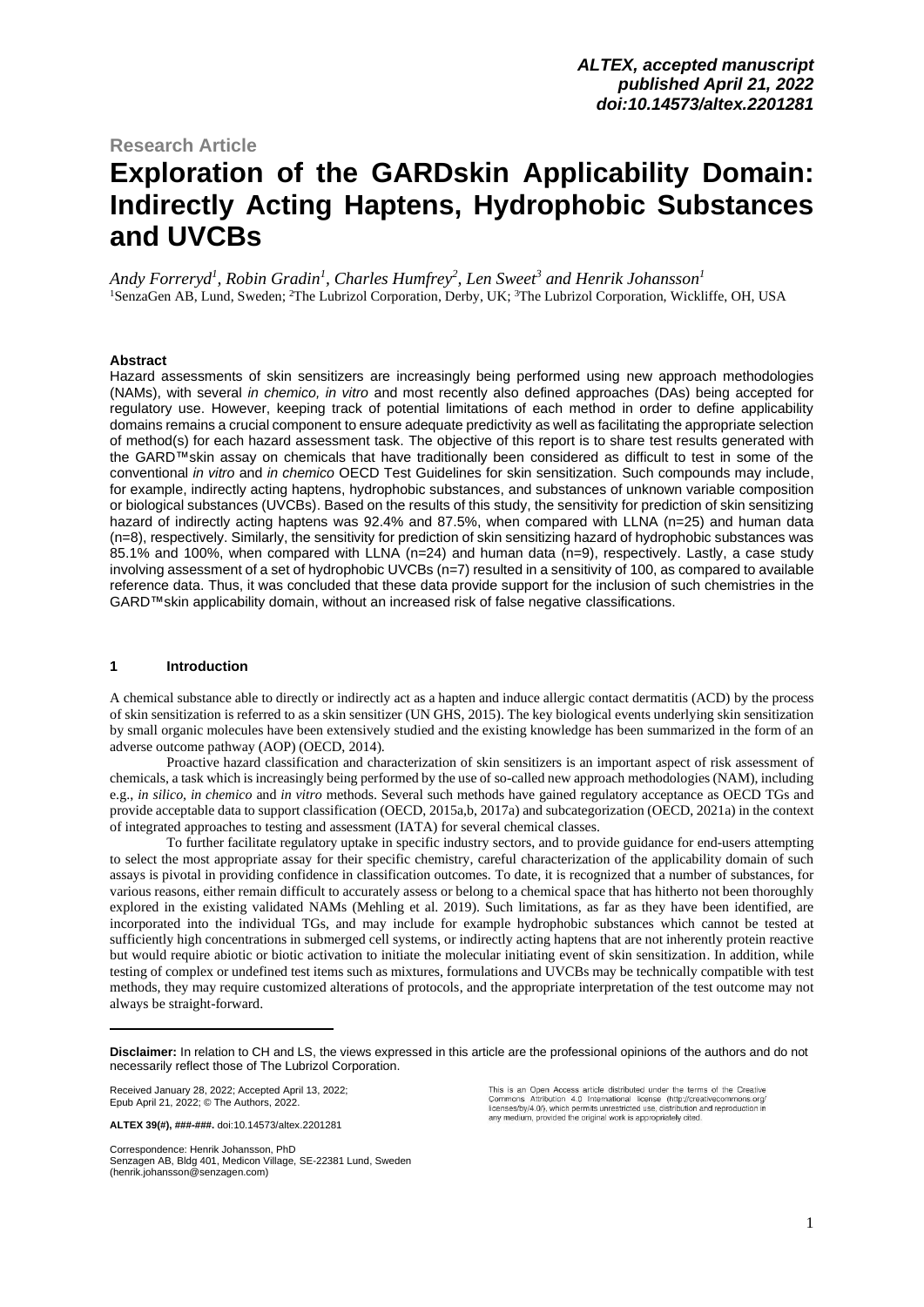## **Research Article**

# **Exploration of the GARDskin Applicability Domain: Indirectly Acting Haptens, Hydrophobic Substances and UVCBs\***

*Andy Forreryd<sup>1</sup> , Robin Gradin<sup>1</sup> , Charles Humfrey<sup>2</sup> , Len Sweet<sup>3</sup> and Henrik Johansson<sup>1</sup>* <sup>1</sup>SenzaGen AB, Lund, Sweden; <sup>2</sup>The Lubrizol Corporation, Derby, UK; <sup>3</sup>The Lubrizol Corporation, Wickliffe, OH, USA

### **Abstract**

Hazard assessments of skin sensitizers are increasingly being performed using new approach methodologies (NAMs), with several *in chemico, in vitro* and most recently also defined approaches (DAs) being accepted for regulatory use. However, keeping track of potential limitations of each method in order to define applicability domains remains a crucial component to ensure adequate predictivity as well as facilitating the appropriate selection of method(s) for each hazard assessment task. The objective of this report is to share test results generated with the GARD™skin assay on chemicals that have traditionally been considered as difficult to test in some of the conventional *in vitro* and *in chemico* OECD Test Guidelines for skin sensitization. Such compounds may include, for example, indirectly acting haptens, hydrophobic substances, and substances of unknown variable composition or biological substances (UVCBs). Based on the results of this study, the sensitivity for prediction of skin sensitizing hazard of indirectly acting haptens was 92.4% and 87.5%, when compared with LLNA (n=25) and human data (n=8), respectively. Similarly, the sensitivity for prediction of skin sensitizing hazard of hydrophobic substances was 85.1% and 100%, when compared with LLNA (n=24) and human data (n=9), respectively. Lastly, a case study involving assessment of a set of hydrophobic UVCBs (n=7) resulted in a sensitivity of 100, as compared to available reference data. Thus, it was concluded that these data provide support for the inclusion of such chemistries in the GARD™skin applicability domain, without an increased risk of false negative classifications.

#### **1 Introduction**

A chemical substance able to directly or indirectly act as a hapten and induce allergic contact dermatitis (ACD) by the process of skin sensitization is referred to as a skin sensitizer (UN GHS, 2015). The key biological events underlying skin sensitization by small organic molecules have been extensively studied and the existing knowledge has been summarized in the form of an adverse outcome pathway (AOP) (OECD, 2014).

Proactive hazard classification and characterization of skin sensitizers is an important aspect of risk assessment of chemicals, a task which is increasingly being performed by the use of so-called new approach methodologies (NAM), including e.g., *in silico, in chemico* and *in vitro* methods. Several such methods have gained regulatory acceptance as OECD TGs and provide acceptable data to support classification (OECD, 2015a,b, 2017a) and subcategorization (OECD, 2021a) in the context of integrated approaches to testing and assessment (IATA) for several chemical classes.

To further facilitate regulatory uptake in specific industry sectors, and to provide guidance for end-users attempting to select the most appropriate assay for their specific chemistry, careful characterization of the applicability domain of such assays is pivotal in providing confidence in classification outcomes. To date, it is recognized that a number of substances, for various reasons, either remain difficult to accurately assess or belong to a chemical space that has hitherto not been thoroughly explored in the existing validated NAMs (Mehling et al. 2019). Such limitations, as far as they have been identified, are incorporated into the individual TGs, and may include for example hydrophobic substances which cannot be tested at sufficiently high concentrations in submerged cell systems, or indirectly acting haptens that are not inherently protein reactive but would require abiotic or biotic activation to initiate the molecular initiating event of skin sensitization. In addition, while testing of complex or undefined test items such as mixtures, formulations and UVCBs may be technically compatible with test methods, they may require customized alterations of protocols, and the appropriate interpretation of the test outcome may not always be straight-forward.

Received January 28, 2022; Accepted April 13, 2022; Epub April 21, 2022; © The Authors, 2022.

Senzagen AB, Bldg 401, Medicon Village, SE-22381 Lund, Sweden [\(henrik.johansson@senzagen.com\)](mailto:henrik.johansson@senzagen.com)

This is an Open Access article distributed under the terms of the Creative<br>Commons Attribution 4.0 International license (http://creativecommons.org/<br>licenses/by/4.0/), which permits unrestricted use, distribution and repr any medium, provided the original work is appropriately cited.

**Disclaimer:** In relation to CH and LS, the views expressed in this article are the professional opinions of the authors and do not necessarily reflect those of The Lubrizol Corporation.

**ALTEX 39(#), ###-###.** [doi:10.14573/altex.2201281](https://doi.org/10.14573/altex.2201281)

Correspondence: Henrik Johansson, PhD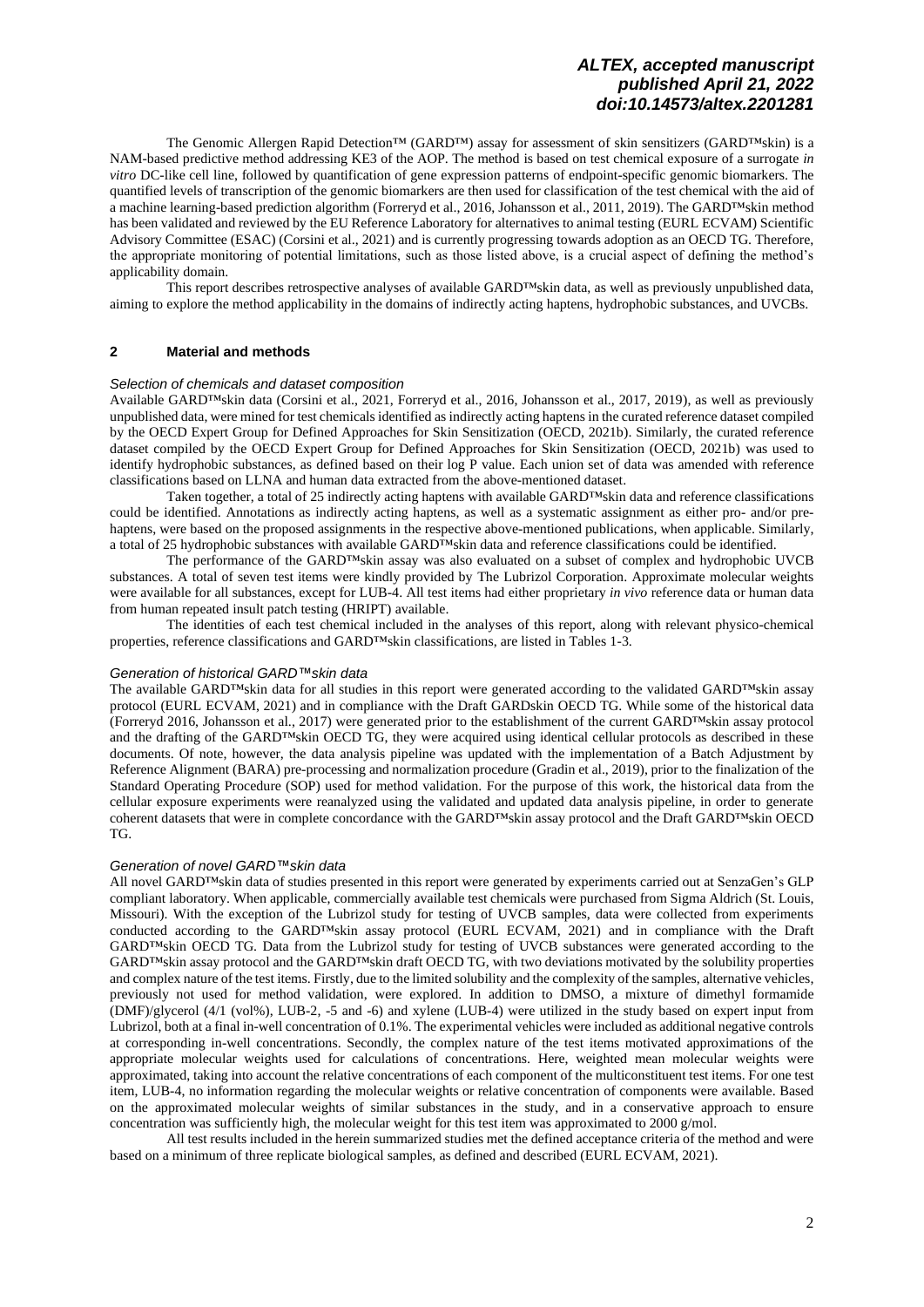The Genomic Allergen Rapid Detection™ (GARD™) assay for assessment of skin sensitizers (GARD™skin) is a NAM-based predictive method addressing KE3 of the AOP. The method is based on test chemical exposure of a surrogate *in vitro* DC-like cell line, followed by quantification of gene expression patterns of endpoint-specific genomic biomarkers. The quantified levels of transcription of the genomic biomarkers are then used for classification of the test chemical with the aid of a machine learning-based prediction algorithm (Forreryd et al., 2016, Johansson et al., 2011, 2019). The GARD™skin method has been validated and reviewed by the EU Reference Laboratory for alternatives to animal testing (EURL ECVAM) Scientific Advisory Committee (ESAC) (Corsini et al., 2021) and is currently progressing towards adoption as an OECD TG. Therefore, the appropriate monitoring of potential limitations, such as those listed above, is a crucial aspect of defining the method's applicability domain.

This report describes retrospective analyses of available GARD™skin data, as well as previously unpublished data, aiming to explore the method applicability in the domains of indirectly acting haptens, hydrophobic substances, and UVCBs.

### **2 Material and methods**

### *Selection of chemicals and dataset composition*

Available GARD™skin data (Corsini et al., 2021, Forreryd et al., 2016, Johansson et al., 2017, 2019), as well as previously unpublished data, were mined for test chemicals identified as indirectly acting haptens in the curated reference dataset compiled by the OECD Expert Group for Defined Approaches for Skin Sensitization (OECD, 2021b). Similarly, the curated reference dataset compiled by the OECD Expert Group for Defined Approaches for Skin Sensitization (OECD, 2021b) was used to identify hydrophobic substances, as defined based on their log P value. Each union set of data was amended with reference classifications based on LLNA and human data extracted from the above-mentioned dataset.

Taken together, a total of 25 indirectly acting haptens with available GARD™skin data and reference classifications could be identified. Annotations as indirectly acting haptens, as well as a systematic assignment as either pro- and/or prehaptens, were based on the proposed assignments in the respective above-mentioned publications, when applicable. Similarly, a total of 25 hydrophobic substances with available GARD™skin data and reference classifications could be identified.

The performance of the GARD™skin assay was also evaluated on a subset of complex and hydrophobic UVCB substances. A total of seven test items were kindly provided by The Lubrizol Corporation. Approximate molecular weights were available for all substances, except for LUB-4. All test items had either proprietary *in vivo* reference data or human data from human repeated insult patch testing (HRIPT) available.

The identities of each test chemical included in the analyses of this report, along with relevant physico-chemical properties, reference classifications and GARD™skin classifications, are listed in Tables 1-3.

### *Generation of historical GARD™skin data*

The available GARD™skin data for all studies in this report were generated according to the validated GARD™skin assay protocol (EURL ECVAM, 2021) and in compliance with the Draft GARDskin OECD TG. While some of the historical data (Forreryd 2016, Johansson et al., 2017) were generated prior to the establishment of the current GARD™skin assay protocol and the drafting of the GARD™skin OECD TG, they were acquired using identical cellular protocols as described in these documents. Of note, however, the data analysis pipeline was updated with the implementation of a Batch Adjustment by Reference Alignment (BARA) pre-processing and normalization procedure (Gradin et al., 2019), prior to the finalization of the Standard Operating Procedure (SOP) used for method validation. For the purpose of this work, the historical data from the cellular exposure experiments were reanalyzed using the validated and updated data analysis pipeline, in order to generate coherent datasets that were in complete concordance with the GARD™skin assay protocol and the Draft GARD™skin OECD TG.

### *Generation of novel GARD™skin data*

All novel GARD™skin data of studies presented in this report were generated by experiments carried out at SenzaGen's GLP compliant laboratory. When applicable, commercially available test chemicals were purchased from Sigma Aldrich (St. Louis, Missouri). With the exception of the Lubrizol study for testing of UVCB samples, data were collected from experiments conducted according to the GARD™skin assay protocol (EURL ECVAM, 2021) and in compliance with the Draft GARD™skin OECD TG. Data from the Lubrizol study for testing of UVCB substances were generated according to the GARD™skin assay protocol and the GARD™skin draft OECD TG, with two deviations motivated by the solubility properties and complex nature of the test items. Firstly, due to the limited solubility and the complexity of the samples, alternative vehicles, previously not used for method validation, were explored. In addition to DMSO, a mixture of dimethyl formamide (DMF)/glycerol (4/1 (vol%), LUB-2, -5 and -6) and xylene (LUB-4) were utilized in the study based on expert input from Lubrizol, both at a final in-well concentration of 0.1%. The experimental vehicles were included as additional negative controls at corresponding in-well concentrations. Secondly, the complex nature of the test items motivated approximations of the appropriate molecular weights used for calculations of concentrations. Here, weighted mean molecular weights were approximated, taking into account the relative concentrations of each component of the multiconstituent test items. For one test item, LUB-4, no information regarding the molecular weights or relative concentration of components were available. Based on the approximated molecular weights of similar substances in the study, and in a conservative approach to ensure concentration was sufficiently high, the molecular weight for this test item was approximated to 2000 g/mol.

All test results included in the herein summarized studies met the defined acceptance criteria of the method and were based on a minimum of three replicate biological samples, as defined and described (EURL ECVAM, 2021).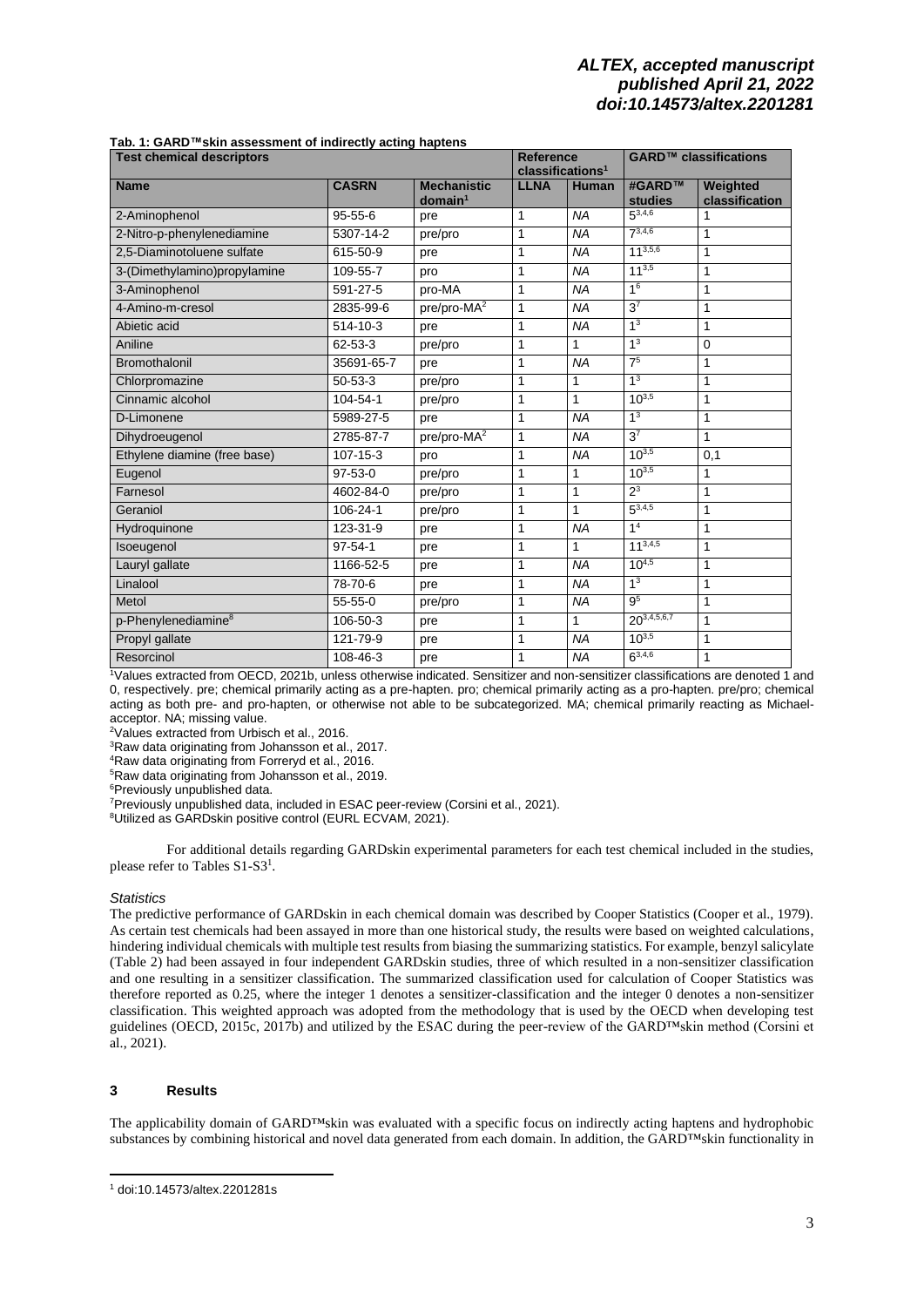| <b>Test chemical descriptors</b> |               |                                           | <b>Reference</b><br>classifications <sup>1</sup> |              | GARD <sup>™</sup> classifications |                            |  |
|----------------------------------|---------------|-------------------------------------------|--------------------------------------------------|--------------|-----------------------------------|----------------------------|--|
| <b>Name</b>                      | <b>CASRN</b>  | <b>Mechanistic</b><br>domain <sup>1</sup> | <b>LLNA</b>                                      | <b>Human</b> | #GARD™<br>studies                 | Weighted<br>classification |  |
| 2-Aminophenol                    | $95 - 55 - 6$ | pre                                       | 1                                                | <b>NA</b>    | $5^{3,4,6}$                       |                            |  |
| 2-Nitro-p-phenylenediamine       | 5307-14-2     | pre/pro                                   | 1                                                | <b>NA</b>    | $7^{3,4,6}$                       | 1                          |  |
| 2,5-Diaminotoluene sulfate       | 615-50-9      | pre                                       | 1                                                | <b>NA</b>    | $11^{3,5,6}$                      | 1                          |  |
| 3-(Dimethylamino)propylamine     | 109-55-7      | pro                                       | 1                                                | <b>NA</b>    | $11^{3,5}$                        | 1                          |  |
| 3-Aminophenol                    | 591-27-5      | pro-MA                                    | 1                                                | <b>NA</b>    | 1 <sup>6</sup>                    | 1                          |  |
| 4-Amino-m-cresol                 | 2835-99-6     | $pre/pro-MA2$                             | 1                                                | <b>NA</b>    | 3 <sup>7</sup>                    | 1                          |  |
| Abietic acid                     | 514-10-3      | pre                                       | 1                                                | <b>NA</b>    | 1 <sup>3</sup>                    | 1                          |  |
| Aniline                          | 62-53-3       | pre/pro                                   | 1                                                | 1            | 1 <sup>3</sup>                    | 0                          |  |
| Bromothalonil                    | 35691-65-7    | pre                                       | 1                                                | <b>NA</b>    | 7 <sup>5</sup>                    | 1                          |  |
| Chlorpromazine                   | $50 - 53 - 3$ | pre/pro                                   | 1                                                | 1            | 1 <sup>3</sup>                    | 1                          |  |
| Cinnamic alcohol                 | 104-54-1      | pre/pro                                   | 1                                                | 1            | $10^{3,5}$                        | 1                          |  |
| D-Limonene                       | 5989-27-5     | pre                                       | 1                                                | <b>NA</b>    | 1 <sup>3</sup>                    | 1                          |  |
| Dihydroeugenol                   | 2785-87-7     | pre/pro-MA <sup>2</sup>                   | 1                                                | <b>NA</b>    | 3 <sup>7</sup>                    | 1                          |  |
| Ethylene diamine (free base)     | 107-15-3      | pro                                       | 1                                                | <b>NA</b>    | $10^{3,5}$                        | 0,1                        |  |
| Eugenol                          | $97-53-0$     | pre/pro                                   | 1                                                | 1            | $10^{3,5}$                        | 1                          |  |
| Farnesol                         | 4602-84-0     | pre/pro                                   | 1                                                | $\mathbf{1}$ | $2^3$                             | 1                          |  |
| Geraniol                         | 106-24-1      | pre/pro                                   | 1                                                | 1            | $5^{3,4,5}$                       | 1                          |  |
| Hydroquinone                     | 123-31-9      | pre                                       | 1                                                | <b>NA</b>    | 1 <sup>4</sup>                    | 1                          |  |
| Isoeugenol                       | $97 - 54 - 1$ | pre                                       | 1                                                | 1            | $11^{3,4,5}$                      | 1                          |  |
| Lauryl gallate                   | 1166-52-5     | pre                                       | 1                                                | <b>NA</b>    | $10^{4,5}$                        | 1                          |  |
| Linalool                         | 78-70-6       | pre                                       | 1                                                | <b>NA</b>    | 1 <sup>3</sup>                    | 1                          |  |
| Metol                            | $55 - 55 - 0$ | pre/pro                                   | 1                                                | <b>NA</b>    | 9 <sup>5</sup>                    | 1                          |  |
| p-Phenylenediamine <sup>8</sup>  | 106-50-3      | pre                                       | 1                                                | $\mathbf{1}$ | $20^{3,4,5,6,7}$                  | 1                          |  |
| Propyl gallate                   | 121-79-9      | pre                                       | 1                                                | <b>NA</b>    | $10^{3,5}$                        | 1                          |  |
| Resorcinol                       | 108-46-3      | pre                                       | 1                                                | <b>NA</b>    | $6^{3,4,6}$                       | 1                          |  |

#### **Tab. 1: GARD™skin assessment of indirectly acting haptens**

<sup>1</sup>Values extracted from OECD, 2021b, unless otherwise indicated. Sensitizer and non-sensitizer classifications are denoted 1 and 0, respectively. pre; chemical primarily acting as a pre-hapten. pro; chemical primarily acting as a pro-hapten. pre/pro; chemical acting as both pre- and pro-hapten, or otherwise not able to be subcategorized. MA; chemical primarily reacting as Michaelacceptor. NA; missing value.

<sup>2</sup>Values extracted from Urbisch et al., 2016.

<sup>3</sup>Raw data originating from Johansson et al., 2017.

<sup>4</sup>Raw data originating from Forreryd et al., 2016.

<sup>5</sup>Raw data originating from Johansson et al., 2019.

<sup>6</sup>Previously unpublished data.

<sup>7</sup>Previously unpublished data, included in ESAC peer-review (Corsini et al., 2021).

<sup>8</sup>Utilized as GARDskin positive control (EURL ECVAM, 2021).

<span id="page-2-0"></span>For additional details regarding GARDskin experimental parameters for each test chemical included in the studies, please refer to Tables S1-S3<sup>1</sup>.

### *Statistics*

The predictive performance of GARDskin in each chemical domain was described by Cooper Statistics (Cooper et al., 1979). As certain test chemicals had been assayed in more than one historical study, the results were based on weighted calculations, hindering individual chemicals with multiple test results from biasing the summarizing statistics. For example, benzyl salicylate (Table 2) had been assayed in four independent GARDskin studies, three of which resulted in a non-sensitizer classification and one resulting in a sensitizer classification. The summarized classification used for calculation of Cooper Statistics was therefore reported as 0.25, where the integer 1 denotes a sensitizer-classification and the integer 0 denotes a non-sensitizer classification. This weighted approach was adopted from the methodology that is used by the OECD when developing test guidelines (OECD, 2015c, 2017b) and utilized by the ESAC during the peer-review of the GARD™skin method (Corsini et al., 2021).

### **3 Results**

The applicability domain of GARD™skin was evaluated with a specific focus on indirectly acting haptens and hydrophobic substances by combining historical and novel data generated from each domain. In addition, the GARD™skin functionality in

<sup>1</sup> [doi:10.14573/altex.2201281s](https://doi.org/10.14573/altex.2201281s)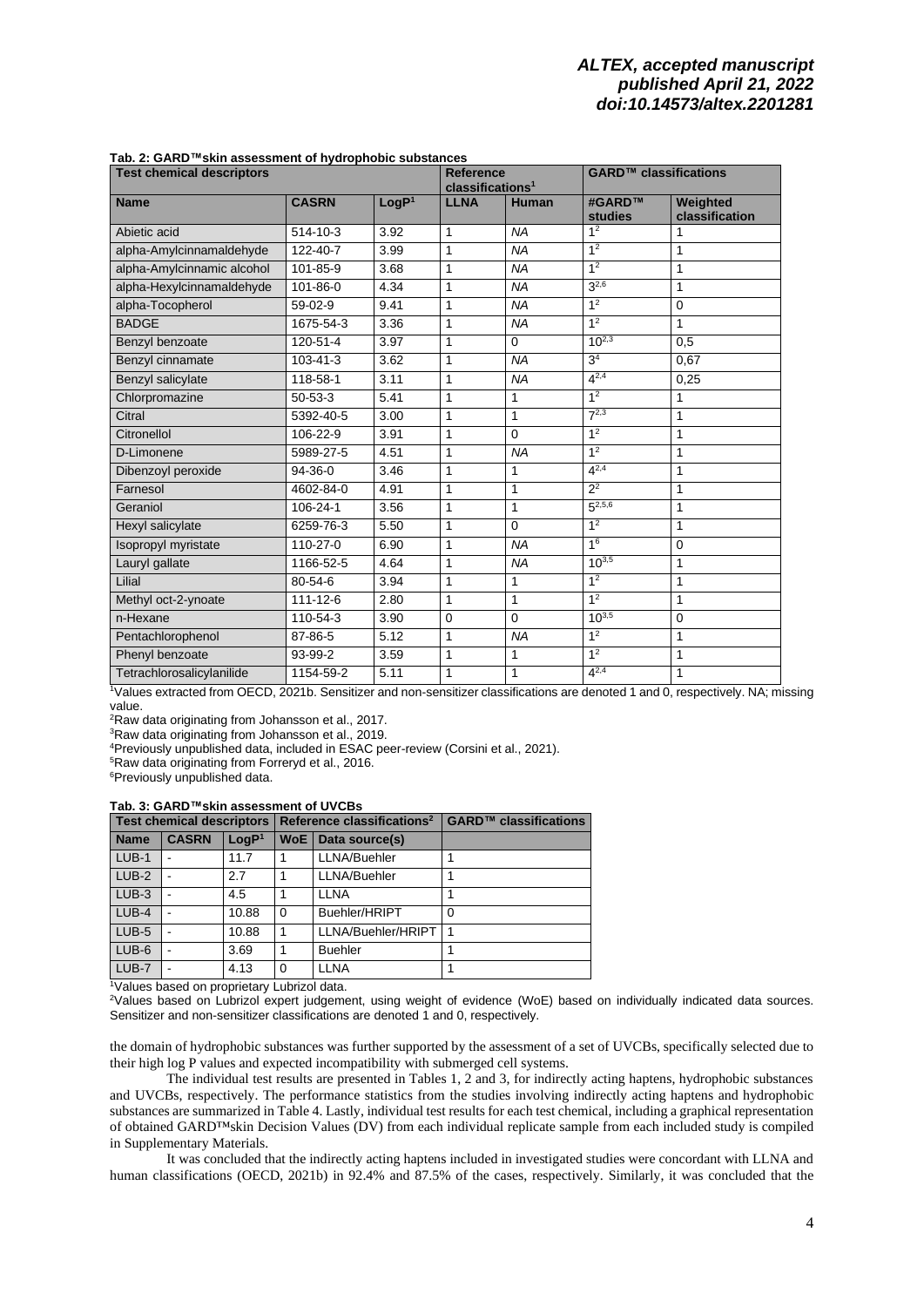| <b>Test chemical descriptors</b> |                |                   | <b>Reference</b><br>classifications <sup>1</sup> |              | GARD <sup>™</sup> classifications |                            |  |
|----------------------------------|----------------|-------------------|--------------------------------------------------|--------------|-----------------------------------|----------------------------|--|
| <b>Name</b>                      | <b>CASRN</b>   | LogP <sup>1</sup> | <b>LLNA</b>                                      | <b>Human</b> | #GARD™<br>studies                 | Weighted<br>classification |  |
| Abietic acid                     | 514-10-3       | 3.92              | 1                                                | <b>NA</b>    | 1 <sup>2</sup>                    | 1                          |  |
| alpha-Amylcinnamaldehyde         | 122-40-7       | 3.99              | 1                                                | <b>NA</b>    | 1 <sup>2</sup>                    | 1                          |  |
| alpha-Amylcinnamic alcohol       | 101-85-9       | 3.68              | 1                                                | <b>NA</b>    | 1 <sup>2</sup>                    | 1                          |  |
| alpha-Hexylcinnamaldehyde        | 101-86-0       | 4.34              | 1                                                | <b>NA</b>    | $3^{2,6}$                         | 1                          |  |
| alpha-Tocopherol                 | 59-02-9        | 9.41              | 1                                                | <b>NA</b>    | 1 <sup>2</sup>                    | $\mathbf 0$                |  |
| <b>BADGE</b>                     | 1675-54-3      | 3.36              | 1                                                | <b>NA</b>    | 1 <sup>2</sup>                    | $\mathbf{1}$               |  |
| Benzyl benzoate                  | 120-51-4       | 3.97              | 1                                                | $\mathbf 0$  | $10^{2,3}$                        | 0,5                        |  |
| Benzyl cinnamate                 | $103 - 41 - 3$ | 3.62              | 1                                                | <b>NA</b>    | 3 <sup>4</sup>                    | 0,67                       |  |
| Benzyl salicylate                | 118-58-1       | 3.11              | 1                                                | <b>NA</b>    | $4^{2,4}$                         | 0,25                       |  |
| Chlorpromazine                   | $50 - 53 - 3$  | 5.41              | 1                                                | 1            | 1 <sup>2</sup>                    | 1                          |  |
| Citral                           | 5392-40-5      | 3.00              | 1                                                | 1            | $7^{2,3}$                         | 1                          |  |
| Citronellol                      | 106-22-9       | 3.91              | 1                                                | $\mathbf 0$  | 1 <sup>2</sup>                    | 1                          |  |
| D-Limonene                       | 5989-27-5      | 4.51              | 1                                                | <b>NA</b>    | 1 <sup>2</sup>                    | 1                          |  |
| Dibenzoyl peroxide               | $94-36-0$      | 3.46              | 1                                                | 1            | $4^{2,4}$                         | 1                          |  |
| Farnesol                         | 4602-84-0      | 4.91              | 1                                                | 1            | $2^2$                             | 1                          |  |
| Geraniol                         | 106-24-1       | 3.56              | 1                                                | 1            | $5^{2,5,6}$                       | 1                          |  |
| Hexyl salicylate                 | 6259-76-3      | 5.50              | 1                                                | $\mathbf 0$  | 1 <sup>2</sup>                    | 1                          |  |
| Isopropyl myristate              | 110-27-0       | 6.90              | 1                                                | <b>NA</b>    | 1 <sup>6</sup>                    | 0                          |  |
| Lauryl gallate                   | 1166-52-5      | 4.64              | 1                                                | <b>NA</b>    | $10^{3,5}$                        | 1                          |  |
| Lilial                           | $80 - 54 - 6$  | 3.94              | 1                                                | 1            | 1 <sup>2</sup>                    | 1                          |  |
| Methyl oct-2-ynoate              | 111-12-6       | 2.80              | 1                                                | 1            | 1 <sup>2</sup>                    | 1                          |  |
| n-Hexane                         | 110-54-3       | 3.90              | $\mathbf 0$                                      | $\mathbf 0$  | $10^{3,5}$                        | $\mathbf 0$                |  |
| Pentachlorophenol                | 87-86-5        | 5.12              | 1                                                | <b>NA</b>    | 1 <sup>2</sup>                    | 1                          |  |
| Phenyl benzoate                  | 93-99-2        | 3.59              | 1                                                | 1            | 1 <sup>2</sup>                    | 1                          |  |
| Tetrachlorosalicylanilide        | 1154-59-2      | 5.11              | 1                                                | 1            | $4^{2,4}$                         | 1                          |  |

#### **Tab. 2: GARD™skin assessment of hydrophobic substances**

<sup>1</sup>Values extracted from OECD, 2021b. Sensitizer and non-sensitizer classifications are denoted 1 and 0, respectively. NA; missing value.

<sup>2</sup>Raw data originating from Johansson et al., 2017.

<sup>3</sup>Raw data originating from Johansson et al., 2019.

<sup>4</sup>Previously unpublished data, included in ESAC peer-review (Corsini et al., 2021).

<sup>5</sup>Raw data originating from Forreryd et al., 2016.

<sup>6</sup>Previously unpublished data.

### **Tab. 3: GARD™skin assessment of UVCBs**

| <b>Test chemical descriptors</b> |              |                   |       | Reference classifications <sup>2</sup> | GARD <sup>™</sup> classifications |  |  |
|----------------------------------|--------------|-------------------|-------|----------------------------------------|-----------------------------------|--|--|
| <b>Name</b>                      | <b>CASRN</b> | LogP <sup>1</sup> | WoE I | Data source(s)                         |                                   |  |  |
| $LUB-1$                          |              | 11.7              |       | LLNA/Buehler                           |                                   |  |  |
| $LUB-2$                          |              | 2.7               |       | LLNA/Buehler                           |                                   |  |  |
| $LUB-3$                          |              | 4.5               |       | <b>LLNA</b>                            |                                   |  |  |
| $LUB-4$                          |              | 10.88             | 0     | Buehler/HRIPT                          |                                   |  |  |
| $LUB-5$                          |              | 10.88             |       | LLNA/Buehler/HRIPT                     |                                   |  |  |
| $LUB-6$                          |              | 3.69              |       | <b>Buehler</b>                         |                                   |  |  |
| LUB-7                            |              | 4.13              | 0     | <b>LLNA</b>                            |                                   |  |  |

<sup>1</sup>Values based on proprietary Lubrizol data.

<sup>2</sup>Values based on Lubrizol expert judgement, using weight of evidence (WoE) based on individually indicated data sources. Sensitizer and non-sensitizer classifications are denoted 1 and 0, respectively.

the domain of hydrophobic substances was further supported by the assessment of a set of UVCBs, specifically selected due to their high log P values and expected incompatibility with submerged cell systems.

The individual test results are presented in Tables 1, 2 and 3, for indirectly acting haptens, hydrophobic substances and UVCBs, respectively. The performance statistics from the studies involving indirectly acting haptens and hydrophobic substances are summarized in Table 4. Lastly, individual test results for each test chemical, including a graphical representation of obtained GARD™skin Decision Values (DV) from each individual replicate sample from each included study is compiled in Supplementary Materials.

It was concluded that the indirectly acting haptens included in investigated studies were concordant with LLNA and human classifications (OECD, 2021b) in 92.4% and 87.5% of the cases, respectively. Similarly, it was concluded that the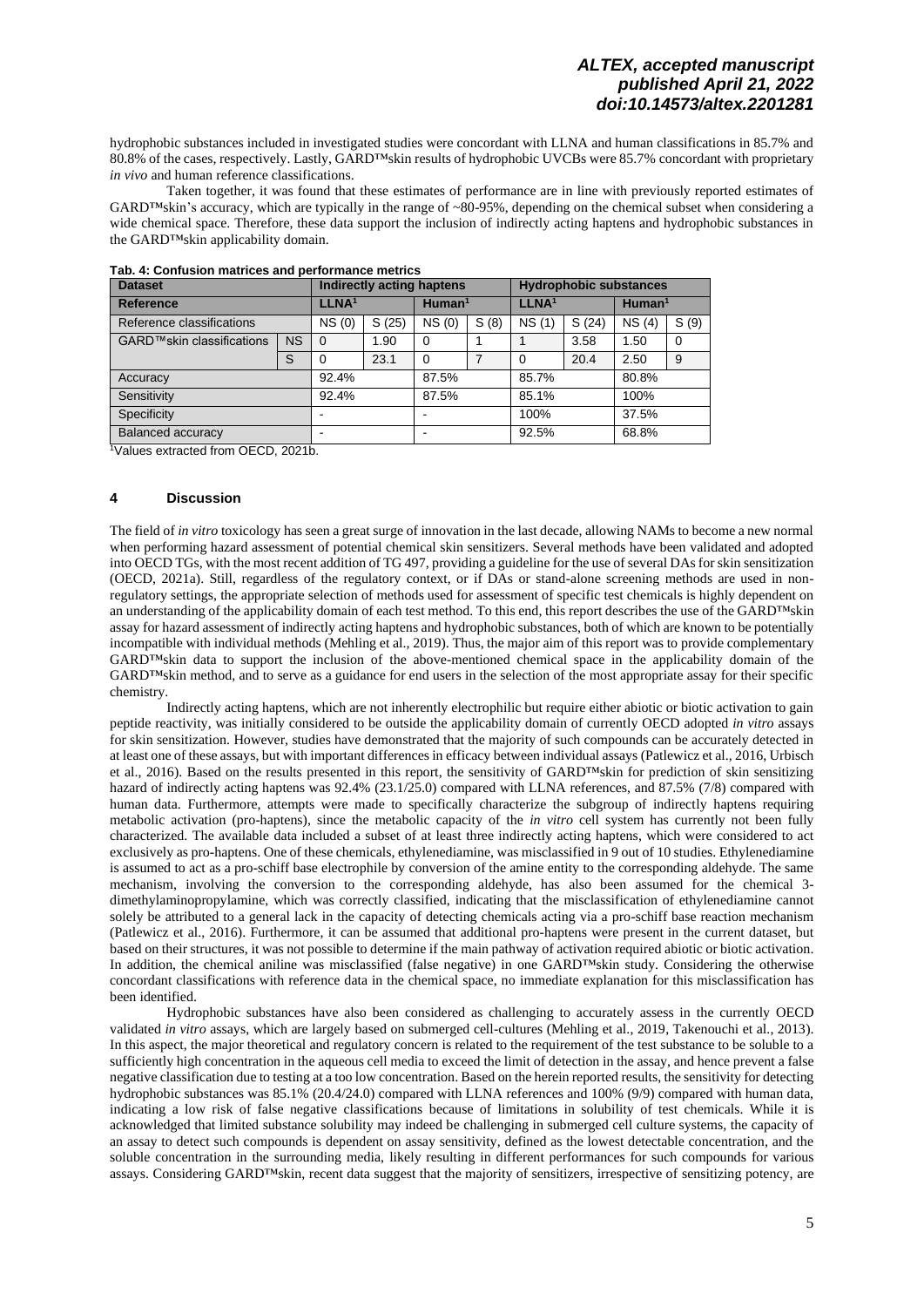hydrophobic substances included in investigated studies were concordant with LLNA and human classifications in 85.7% and 80.8% of the cases, respectively. Lastly, GARD™skin results of hydrophobic UVCBs were 85.7% concordant with proprietary *in vivo* and human reference classifications.

Taken together, it was found that these estimates of performance are in line with previously reported estimates of GARD™skin's accuracy, which are typically in the range of ~80-95%, depending on the chemical subset when considering a wide chemical space. Therefore, these data support the inclusion of indirectly acting haptens and hydrophobic substances in the GARD™skin applicability domain.

| <b>Dataset</b>            | Indirectly acting haptens |                   |       |                    | <b>Hydrophobic substances</b> |                   |       |                       |          |
|---------------------------|---------------------------|-------------------|-------|--------------------|-------------------------------|-------------------|-------|-----------------------|----------|
| <b>Reference</b>          |                           | LLNA <sup>1</sup> |       | Human <sup>1</sup> |                               | LLNA <sup>1</sup> |       | $H$ uman <sup>1</sup> |          |
| Reference classifications |                           | NS(0)             | S(25) | NS(0)              | S(8)                          | NS(1)             | S(24) | NS(4)                 | S(9)     |
| GARD™skin classifications | <b>NS</b>                 | $\Omega$          | 1.90  | 0                  |                               |                   | 3.58  | 1.50                  | $\Omega$ |
|                           | S                         | $\Omega$          | 23.1  | 0                  |                               | $\Omega$          | 20.4  | 2.50                  | 9        |
| Accuracy                  |                           | 92.4%             |       | 87.5%              |                               | 85.7%             |       | 80.8%                 |          |
| Sensitivity               |                           | 92.4%             |       | 87.5%              |                               | 85.1%             |       | 100%                  |          |
| Specificity               |                           | -                 |       |                    |                               | 100%              |       | 37.5%                 |          |
| <b>Balanced accuracy</b>  |                           | -                 |       |                    |                               | 92.5%             |       | 68.8%                 |          |

### **Tab. 4: Confusion matrices and performance metrics**

<sup>1</sup>Values extracted from OECD, 2021b.

### **4 Discussion**

The field of *in vitro* toxicology has seen a great surge of innovation in the last decade, allowing NAMs to become a new normal when performing hazard assessment of potential chemical skin sensitizers. Several methods have been validated and adopted into OECD TGs, with the most recent addition of TG 497, providing a guideline for the use of several DAs for skin sensitization (OECD, 2021a). Still, regardless of the regulatory context, or if DAs or stand-alone screening methods are used in nonregulatory settings, the appropriate selection of methods used for assessment of specific test chemicals is highly dependent on an understanding of the applicability domain of each test method. To this end, this report describes the use of the GARD™skin assay for hazard assessment of indirectly acting haptens and hydrophobic substances, both of which are known to be potentially incompatible with individual methods (Mehling et al., 2019). Thus, the major aim of this report was to provide complementary GARD™skin data to support the inclusion of the above-mentioned chemical space in the applicability domain of the GARD™skin method, and to serve as a guidance for end users in the selection of the most appropriate assay for their specific chemistry.

Indirectly acting haptens, which are not inherently electrophilic but require either abiotic or biotic activation to gain peptide reactivity, was initially considered to be outside the applicability domain of currently OECD adopted *in vitro* assays for skin sensitization. However, studies have demonstrated that the majority of such compounds can be accurately detected in at least one of these assays, but with important differences in efficacy between individual assays (Patlewicz et al., 2016, Urbisch et al., 2016). Based on the results presented in this report, the sensitivity of GARD™skin for prediction of skin sensitizing hazard of indirectly acting haptens was 92.4% (23.1/25.0) compared with LLNA references, and 87.5% (7/8) compared with human data. Furthermore, attempts were made to specifically characterize the subgroup of indirectly haptens requiring metabolic activation (pro-haptens), since the metabolic capacity of the *in vitro* cell system has currently not been fully characterized. The available data included a subset of at least three indirectly acting haptens, which were considered to act exclusively as pro-haptens. One of these chemicals, ethylenediamine, was misclassified in 9 out of 10 studies. Ethylenediamine is assumed to act as a pro-schiff base electrophile by conversion of the amine entity to the corresponding aldehyde. The same mechanism, involving the conversion to the corresponding aldehyde, has also been assumed for the chemical 3 dimethylaminopropylamine, which was correctly classified, indicating that the misclassification of ethylenediamine cannot solely be attributed to a general lack in the capacity of detecting chemicals acting via a pro-schiff base reaction mechanism (Patlewicz et al., 2016). Furthermore, it can be assumed that additional pro-haptens were present in the current dataset, but based on their structures, it was not possible to determine if the main pathway of activation required abiotic or biotic activation. In addition, the chemical aniline was misclassified (false negative) in one GARD™skin study. Considering the otherwise concordant classifications with reference data in the chemical space, no immediate explanation for this misclassification has been identified.

Hydrophobic substances have also been considered as challenging to accurately assess in the currently OECD validated *in vitro* assays, which are largely based on submerged cell-cultures (Mehling et al., 2019, Takenouchi et al., 2013). In this aspect, the major theoretical and regulatory concern is related to the requirement of the test substance to be soluble to a sufficiently high concentration in the aqueous cell media to exceed the limit of detection in the assay, and hence prevent a false negative classification due to testing at a too low concentration. Based on the herein reported results, the sensitivity for detecting hydrophobic substances was 85.1% (20.4/24.0) compared with LLNA references and 100% (9/9) compared with human data, indicating a low risk of false negative classifications because of limitations in solubility of test chemicals. While it is acknowledged that limited substance solubility may indeed be challenging in submerged cell culture systems, the capacity of an assay to detect such compounds is dependent on assay sensitivity, defined as the lowest detectable concentration, and the soluble concentration in the surrounding media, likely resulting in different performances for such compounds for various assays. Considering GARD™skin, recent data suggest that the majority of sensitizers, irrespective of sensitizing potency, are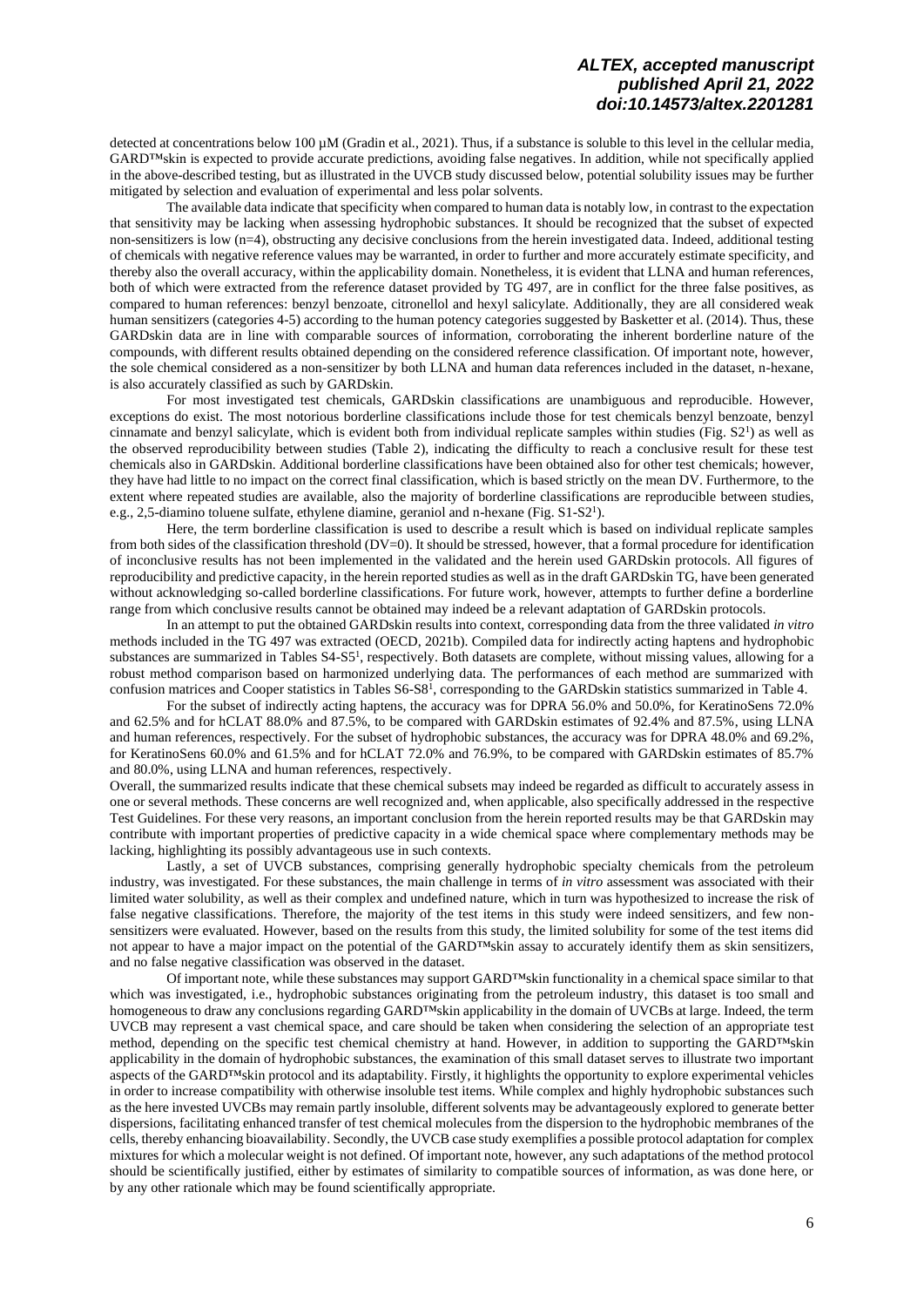detected at concentrations below 100  $\mu$ M (Gradin et al., 2021). Thus, if a substance is soluble to this level in the cellular media, GARD™skin is expected to provide accurate predictions, avoiding false negatives. In addition, while not specifically applied in the above-described testing, but as illustrated in the UVCB study discussed below, potential solubility issues may be further mitigated by selection and evaluation of experimental and less polar solvents.

The available data indicate that specificity when compared to human data is notably low, in contrast to the expectation that sensitivity may be lacking when assessing hydrophobic substances. It should be recognized that the subset of expected non-sensitizers is low (n=4), obstructing any decisive conclusions from the herein investigated data. Indeed, additional testing of chemicals with negative reference values may be warranted, in order to further and more accurately estimate specificity, and thereby also the overall accuracy, within the applicability domain. Nonetheless, it is evident that LLNA and human references, both of which were extracted from the reference dataset provided by TG 497, are in conflict for the three false positives, as compared to human references: benzyl benzoate, citronellol and hexyl salicylate. Additionally, they are all considered weak human sensitizers (categories 4-5) according to the human potency categories suggested by Basketter et al. (2014). Thus, these GARDskin data are in line with comparable sources of information, corroborating the inherent borderline nature of the compounds, with different results obtained depending on the considered reference classification. Of important note, however, the sole chemical considered as a non-sensitizer by both LLNA and human data references included in the dataset, n-hexane, is also accurately classified as such by GARDskin.

For most investigated test chemicals, GARDskin classifications are unambiguous and reproducible. However, exceptions do exist. The most notorious borderline classifications include those for test chemicals benzyl benzoate, benzyl cinnamate and benzyl salicylate, which is evident both from individual replicate samples within studies (Fig.  $S2<sup>1</sup>$  $S2<sup>1</sup>$  $S2<sup>1</sup>$ ) as well as the observed reproducibility between studies (Table 2), indicating the difficulty to reach a conclusive result for these test chemicals also in GARDskin. Additional borderline classifications have been obtained also for other test chemicals; however, they have had little to no impact on the correct final classification, which is based strictly on the mean DV. Furthermore, to the extent where repeated studies are available, also the majority of borderline classifications are reproducible between studies, e.g., [2](#page-2-0),5-diamino toluene sulfate, ethylene diamine, geraniol and n-hexane (Fig. S1-S2<sup>1</sup>).

Here, the term borderline classification is used to describe a result which is based on individual replicate samples from both sides of the classification threshold (DV=0). It should be stressed, however, that a formal procedure for identification of inconclusive results has not been implemented in the validated and the herein used GARDskin protocols. All figures of reproducibility and predictive capacity, in the herein reported studies as well as in the draft GARDskin TG, have been generated without acknowledging so-called borderline classifications. For future work, however, attempts to further define a borderline range from which conclusive results cannot be obtained may indeed be a relevant adaptation of GARDskin protocols.

In an attempt to put the obtained GARDskin results into context, corresponding data from the three validated *in vitro* methods included in the TG 497 was extracted (OECD, 2021b). Compiled data for indirectly acting haptens and hydrophobic substances are summarized in Tables S4-S[5](#page-2-0)<sup>1</sup>, respectively. Both datasets are complete, without missing values, allowing for a robust method comparison based on harmonized underlying data. The performances of each method are summarized with confusion matrices and Cooper statistics in Tables S6-S[8](#page-2-0) 1 , corresponding to the GARDskin statistics summarized in Table 4.

For the subset of indirectly acting haptens, the accuracy was for DPRA 56.0% and 50.0%, for KeratinoSens 72.0% and 62.5% and for hCLAT 88.0% and 87.5%, to be compared with GARDskin estimates of 92.4% and 87.5%, using LLNA and human references, respectively. For the subset of hydrophobic substances, the accuracy was for DPRA 48.0% and 69.2%, for KeratinoSens 60.0% and 61.5% and for hCLAT 72.0% and 76.9%, to be compared with GARDskin estimates of 85.7% and 80.0%, using LLNA and human references, respectively.

Overall, the summarized results indicate that these chemical subsets may indeed be regarded as difficult to accurately assess in one or several methods. These concerns are well recognized and, when applicable, also specifically addressed in the respective Test Guidelines. For these very reasons, an important conclusion from the herein reported results may be that GARDskin may contribute with important properties of predictive capacity in a wide chemical space where complementary methods may be lacking, highlighting its possibly advantageous use in such contexts.

Lastly, a set of UVCB substances, comprising generally hydrophobic specialty chemicals from the petroleum industry, was investigated. For these substances, the main challenge in terms of *in vitro* assessment was associated with their limited water solubility, as well as their complex and undefined nature, which in turn was hypothesized to increase the risk of false negative classifications. Therefore, the majority of the test items in this study were indeed sensitizers, and few nonsensitizers were evaluated. However, based on the results from this study, the limited solubility for some of the test items did not appear to have a major impact on the potential of the GARD™skin assay to accurately identify them as skin sensitizers, and no false negative classification was observed in the dataset.

Of important note, while these substances may support GARD™skin functionality in a chemical space similar to that which was investigated, i.e., hydrophobic substances originating from the petroleum industry, this dataset is too small and homogeneous to draw any conclusions regarding GARD<sup>™skin</sup> applicability in the domain of UVCBs at large. Indeed, the term UVCB may represent a vast chemical space, and care should be taken when considering the selection of an appropriate test method, depending on the specific test chemical chemistry at hand. However, in addition to supporting the GARD™skin applicability in the domain of hydrophobic substances, the examination of this small dataset serves to illustrate two important aspects of the GARD™skin protocol and its adaptability. Firstly, it highlights the opportunity to explore experimental vehicles in order to increase compatibility with otherwise insoluble test items. While complex and highly hydrophobic substances such as the here invested UVCBs may remain partly insoluble, different solvents may be advantageously explored to generate better dispersions, facilitating enhanced transfer of test chemical molecules from the dispersion to the hydrophobic membranes of the cells, thereby enhancing bioavailability. Secondly, the UVCB case study exemplifies a possible protocol adaptation for complex mixtures for which a molecular weight is not defined. Of important note, however, any such adaptations of the method protocol should be scientifically justified, either by estimates of similarity to compatible sources of information, as was done here, or by any other rationale which may be found scientifically appropriate.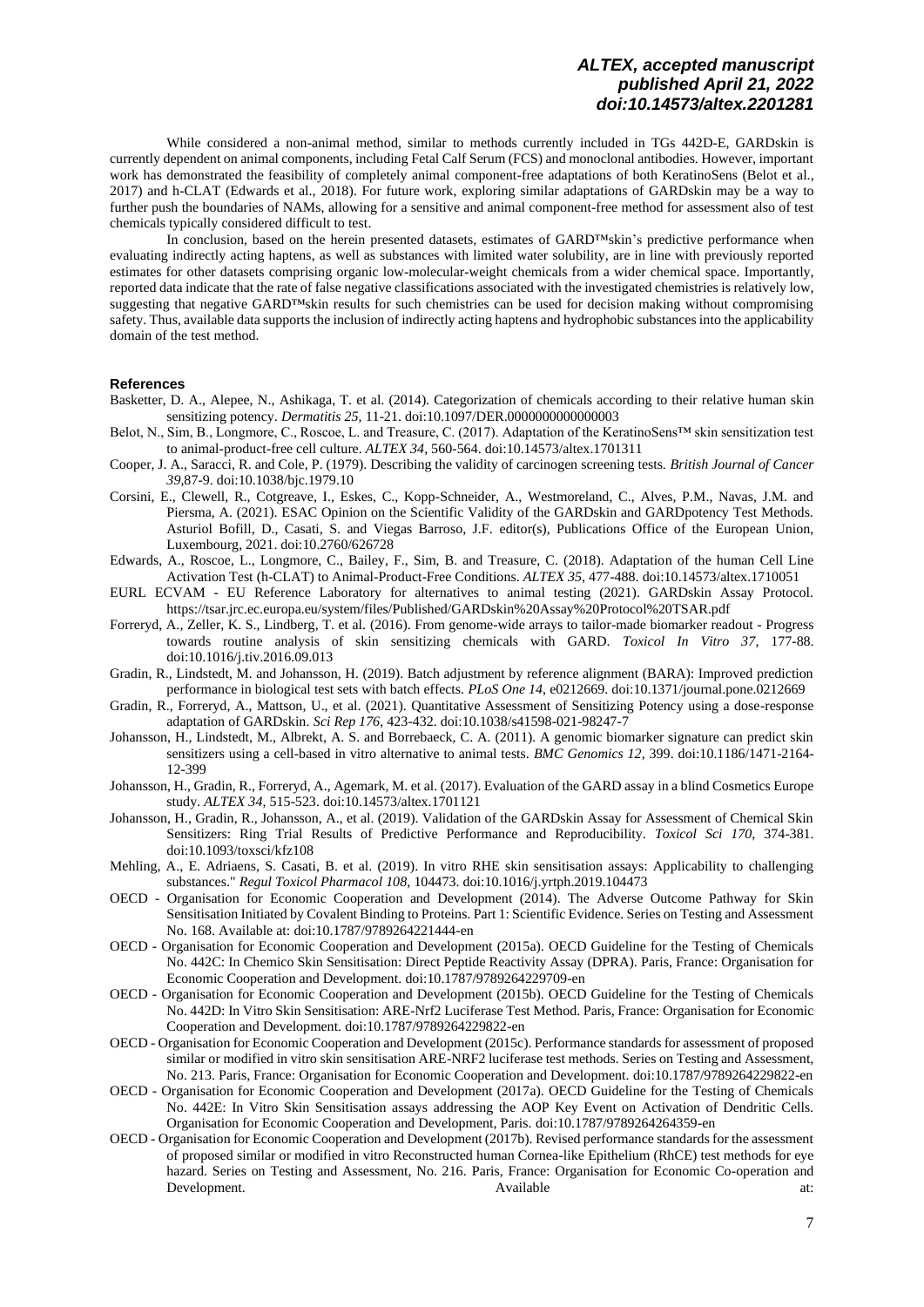While considered a non-animal method, similar to methods currently included in TGs 442D-E, GARDskin is currently dependent on animal components, including Fetal Calf Serum (FCS) and monoclonal antibodies. However, important work has demonstrated the feasibility of completely animal component-free adaptations of both KeratinoSens (Belot et al., 2017) and h-CLAT (Edwards et al., 2018). For future work, exploring similar adaptations of GARDskin may be a way to further push the boundaries of NAMs, allowing for a sensitive and animal component-free method for assessment also of test chemicals typically considered difficult to test.

In conclusion, based on the herein presented datasets, estimates of GARD™skin's predictive performance when evaluating indirectly acting haptens, as well as substances with limited water solubility, are in line with previously reported estimates for other datasets comprising organic low-molecular-weight chemicals from a wider chemical space. Importantly, reported data indicate that the rate of false negative classifications associated with the investigated chemistries is relatively low, suggesting that negative GARD™skin results for such chemistries can be used for decision making without compromising safety. Thus, available data supports the inclusion of indirectly acting haptens and hydrophobic substances into the applicability domain of the test method.

### **References**

- Basketter, D. A., Alepee, N., Ashikaga, T. et al. (2014). Categorization of chemicals according to their relative human skin sensitizing potency. *Dermatitis 25*, 11-21. [doi:10.1097/DER.0000000000000003](https://doi.org/10.1097/DER.0000000000000003)
- Belot, N., Sim, B., Longmore, C., Roscoe, L. and Treasure, C. (2017). Adaptation of the KeratinoSens™ skin sensitization test to animal-product-free cell culture. *ALTEX 34*, 560-564[. doi:10.14573/altex.1701311](https://doi.org/10.14573/altex.1701311)
- Cooper, J. A., Saracci, R. and Cole, P. (1979). Describing the validity of carcinogen screening tests. *British Journal of Cancer 39*,87-9[. doi:10.1038/bjc.1979.10](https://doi.org/10.1038/bjc.1979.10)
- Corsini, E., Clewell, R., Cotgreave, I., Eskes, C., Kopp-Schneider, A., Westmoreland, C., Alves, P.M., Navas, J.M. and Piersma, A. (2021). ESAC Opinion on the Scientific Validity of the GARDskin and GARDpotency Test Methods. Asturiol Bofill, D., Casati, S. and Viegas Barroso, J.F. editor(s), Publications Office of the European Union, Luxembourg, 2021. [doi:10.2760/626728](https://doi.org/10.2760/626728)
- Edwards, A., Roscoe, L., Longmore, C., Bailey, F., Sim, B. and Treasure, C. (2018). Adaptation of the human Cell Line Activation Test (h-CLAT) to Animal-Product-Free Conditions. *ALTEX 35*, 477-488. [doi:10.14573/altex.1710051](https://doi.org/10.14573/altex.1710051)
- EURL ECVAM EU Reference Laboratory for alternatives to animal testing (2021). GARDskin Assay Protocol. <https://tsar.jrc.ec.europa.eu/system/files/Published/GARDskin%20Assay%20Protocol%20TSAR.pdf>
- Forreryd, A., Zeller, K. S., Lindberg, T. et al. (2016). From genome-wide arrays to tailor-made biomarker readout Progress towards routine analysis of skin sensitizing chemicals with GARD. *Toxicol In Vitro 37*, 177-88. [doi:10.1016/j.tiv.2016.09.013](https://doi.org/10.1016/j.tiv.2016.09.013)
- Gradin, R., Lindstedt, M. and Johansson, H. (2019). Batch adjustment by reference alignment (BARA): Improved prediction performance in biological test sets with batch effects. *PLoS One 14*, e0212669. [doi:10.1371/journal.pone.0212669](https://doi.org/10.1371/journal.pone.0212669)
- Gradin, R., Forreryd, A., Mattson, U., et al. (2021). Quantitative Assessment of Sensitizing Potency using a dose-response adaptation of GARDskin. *Sci Rep 176*, 423-432. [doi:10.1038/s41598-021-98247-7](https://doi.org/10.1038/s41598-021-98247-7)
- Johansson, H., Lindstedt, M., Albrekt, A. S. and Borrebaeck, C. A. (2011). A genomic biomarker signature can predict skin sensitizers using a cell-based in vitro alternative to animal tests. *BMC Genomics 12,* 399[. doi:10.1186/1471-2164-](https://doi.org/10.1186/1471-2164-12-399) [12-399](https://doi.org/10.1186/1471-2164-12-399)
- Johansson, H., Gradin, R., Forreryd, A., Agemark, M. et al. (2017). Evaluation of the GARD assay in a blind Cosmetics Europe study. *ALTEX 34*, 515-523[. doi:10.14573/altex.1701121](https://doi.org/10.14573/altex.1701121)
- Johansson, H., Gradin, R., Johansson, A., et al. (2019). Validation of the GARDskin Assay for Assessment of Chemical Skin Sensitizers: Ring Trial Results of Predictive Performance and Reproducibility. *Toxicol Sci 170*, 374-381. [doi:10.1093/toxsci/kfz108](https://doi.org/10.1093/toxsci/kfz108)
- Mehling, A., E. Adriaens, S. Casati, B. et al. (2019). In vitro RHE skin sensitisation assays: Applicability to challenging substances." *Regul Toxicol Pharmacol 108*, 104473[. doi:10.1016/j.yrtph.2019.104473](https://doi.org/10.1016/j.yrtph.2019.104473)
- OECD Organisation for Economic Cooperation and Development (2014). The Adverse Outcome Pathway for Skin Sensitisation Initiated by Covalent Binding to Proteins. Part 1: Scientific Evidence. Series on Testing and Assessment No. 168. Available at[: doi:10.1787/9789264221444-en](https://doi.org/10.1787/9789264221444-en)
- OECD Organisation for Economic Cooperation and Development (2015a). OECD Guideline for the Testing of Chemicals No. 442C: In Chemico Skin Sensitisation: Direct Peptide Reactivity Assay (DPRA). Paris, France: Organisation for Economic Cooperation and Development. [doi:10.1787/9789264229709-en](https://doi.org/10.1787/9789264229709-en)
- OECD Organisation for Economic Cooperation and Development (2015b). OECD Guideline for the Testing of Chemicals No. 442D: In Vitro Skin Sensitisation: ARE-Nrf2 Luciferase Test Method. Paris, France: Organisation for Economic Cooperation and Development[. doi:10.1787/9789264229822-en](https://doi.org/10.1787/9789264229822-en)
- OECD Organisation for Economic Cooperation and Development (2015c). Performance standards for assessment of proposed similar or modified in vitro skin sensitisation ARE-NRF2 luciferase test methods. Series on Testing and Assessment, No. 213. Paris, France: Organisation for Economic Cooperation and Development. [doi:10.1787/9789264229822-en](https://doi.org/10.1787/9789264229822-en)
- OECD Organisation for Economic Cooperation and Development (2017a). OECD Guideline for the Testing of Chemicals No. 442E: In Vitro Skin Sensitisation assays addressing the AOP Key Event on Activation of Dendritic Cells. Organisation for Economic Cooperation and Development, Paris. [doi:10.1787/9789264264359-en](https://doi.org/10.1787/9789264264359-en)
- OECD Organisation for Economic Cooperation and Development (2017b). Revised performance standards for the assessment of proposed similar or modified in vitro Reconstructed human Cornea-like Epithelium (RhCE) test methods for eye hazard. Series on Testing and Assessment, No. 216. Paris, France: Organisation for Economic Co-operation and Development. Available at: Available at: